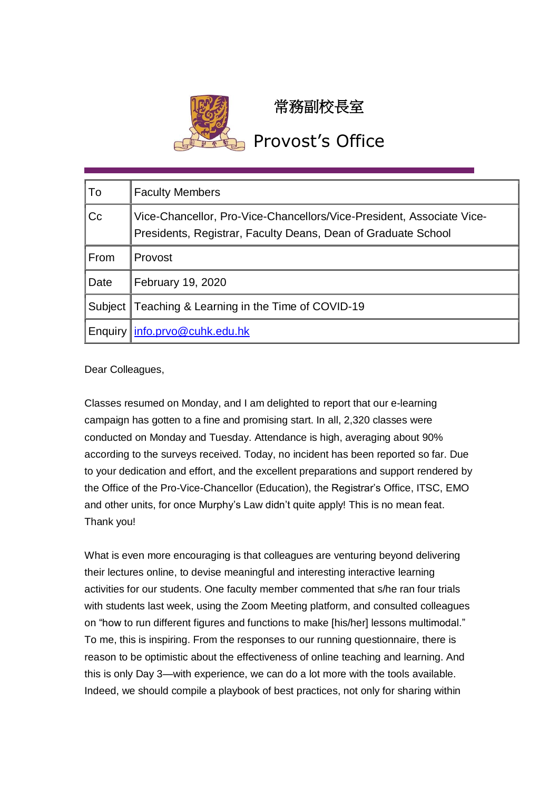

## 常務副校長室

Provost's Office

| To             | <b>Faculty Members</b>                                                                                                                 |
|----------------|----------------------------------------------------------------------------------------------------------------------------------------|
| C <sub>c</sub> | Vice-Chancellor, Pro-Vice-Chancellors/Vice-President, Associate Vice-<br>Presidents, Registrar, Faculty Deans, Dean of Graduate School |
| From           | Provost                                                                                                                                |
| Date           | February 19, 2020                                                                                                                      |
|                | Subject Teaching & Learning in the Time of COVID-19                                                                                    |
|                | Enquiry   info.prvo@cuhk.edu.hk                                                                                                        |

Dear Colleagues,

Classes resumed on Monday, and I am delighted to report that our e-learning campaign has gotten to a fine and promising start. In all, 2,320 classes were conducted on Monday and Tuesday. Attendance is high, averaging about 90% according to the surveys received. Today, no incident has been reported so far. Due to your dedication and effort, and the excellent preparations and support rendered by the Office of the Pro-Vice-Chancellor (Education), the Registrar's Office, ITSC, EMO and other units, for once Murphy's Law didn't quite apply! This is no mean feat. Thank you!

What is even more encouraging is that colleagues are venturing beyond delivering their lectures online, to devise meaningful and interesting interactive learning activities for our students. One faculty member commented that s/he ran four trials with students last week, using the Zoom Meeting platform, and consulted colleagues on "how to run different figures and functions to make [his/her] lessons multimodal." To me, this is inspiring. From the responses to our running questionnaire, there is reason to be optimistic about the effectiveness of online teaching and learning. And this is only Day 3—with experience, we can do a lot more with the tools available. Indeed, we should compile a playbook of best practices, not only for sharing within